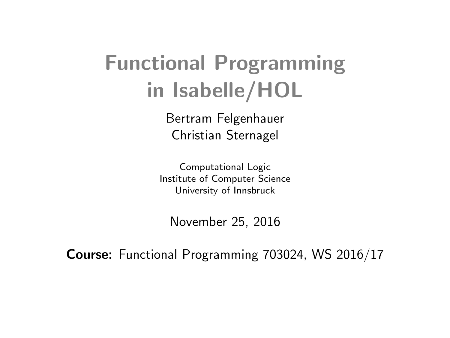# Functional Programming in [Isabelle/HOL](http://isabelle.in.tum.de)

Bertram Felgenhauer Christian Sternagel

Computational Logic Institute of Computer Science University of Innsbruck

November 25, 2016

Course: Functional Programming 703024, WS 2016/17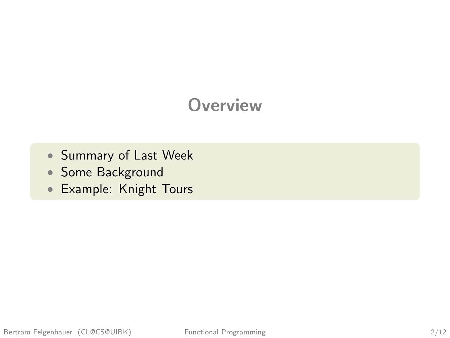# **Overview**

- [Summary of Last Week](#page-3-0)
- [Some Background](#page-4-0)
- [Example: Knight Tours](#page-43-0)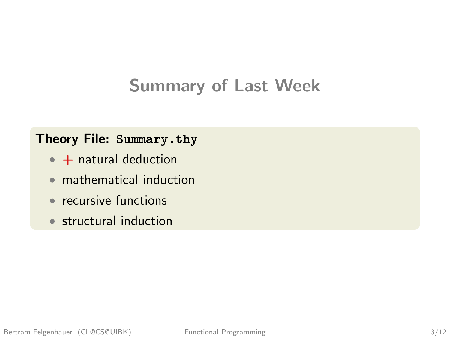# Summary of Last Week

#### Theory File: [Summary.thy](http://cl-informatik.uibk.ac.at/teaching/ws15/fp/m/Summary.thy)

- $\bullet$  + natural deduction
- mathematical induction
- recursive functions
- structural induction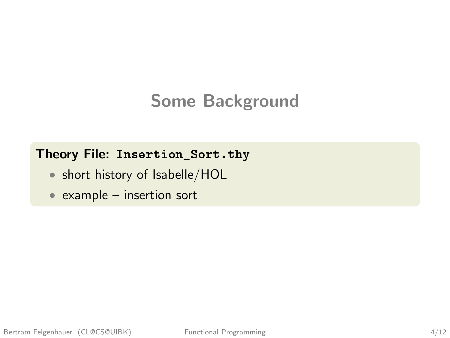# <span id="page-3-0"></span>Some Background

#### Theory File: [Insertion\\_Sort.thy](http://cl-informatik.uibk.ac.at/teaching/ws15/fp/m/Insertion_Sort.thy)

- short history of [Isabelle/HOL](http://isabelle.in.tum.de)
- example insertion sort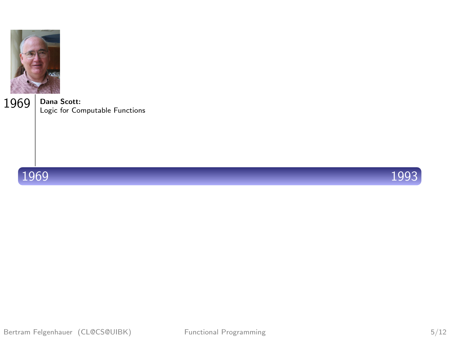<span id="page-4-0"></span>

Dana Scott:  $1969$  Dana Scott:<br>Logic for Computable Functions





Bertram Felgenhauer (CL@CS@UIBK) Functional Programming 5/12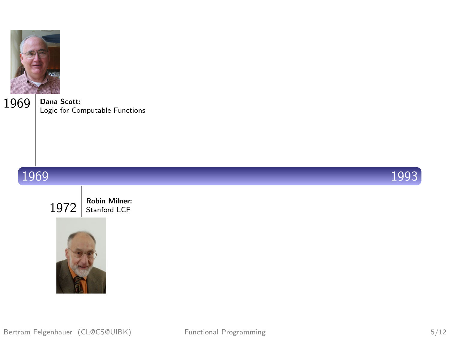

Dana Scott:  $1969$  Dana Scott:<br>Logic for Computable Functions



 $1972$  Robin Milner:



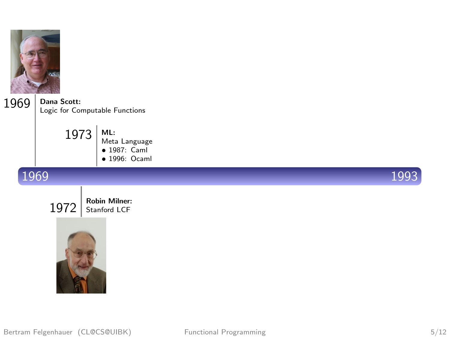

Dana Scott:  $1969$  Dana Scott:<br>Logic for Computable Functions

> ML: Meta Language • 1987: Caml 1973

> > • 1996: Ocaml

#### 1969 1993



 $1972$  Robin Milner:

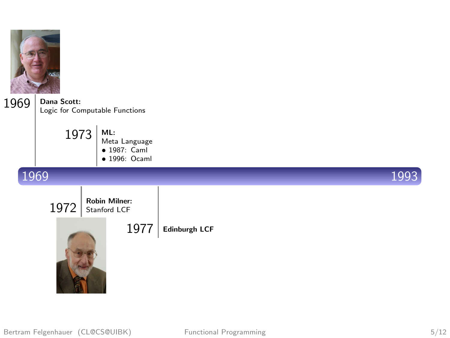

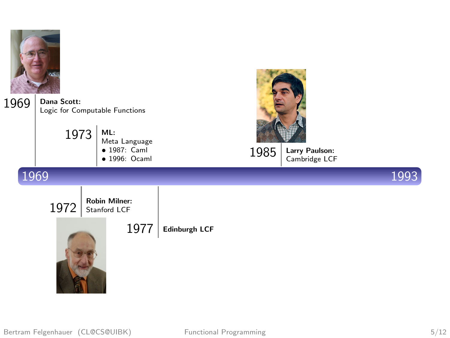

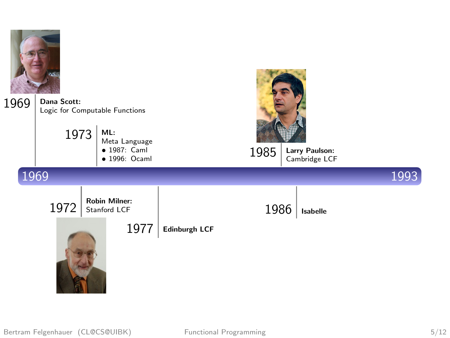

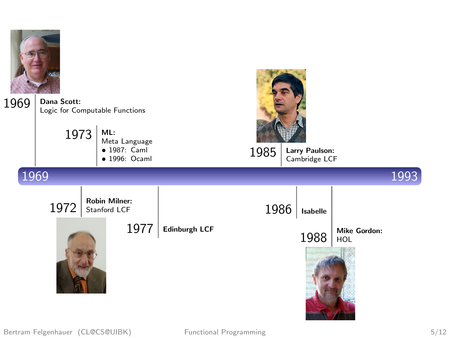

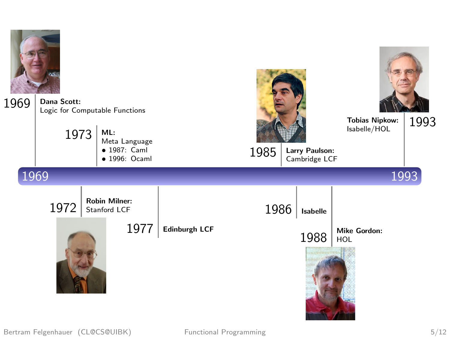

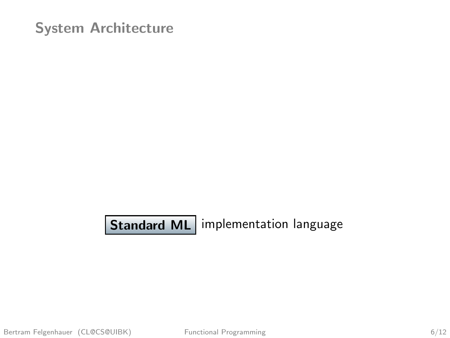**Standard ML** implementation language

Bertram Felgenhauer (CL@CS@UIBK) Functional Programming 6/12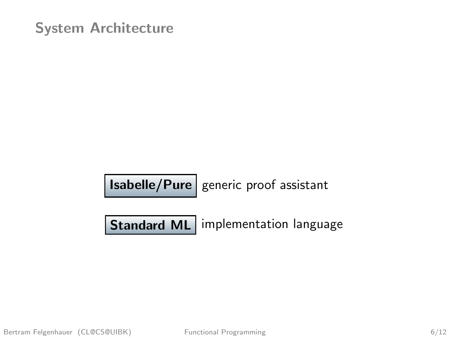$|$  Isabelle/Pure  $|$  generic proof assistant

Standard ML | implementation language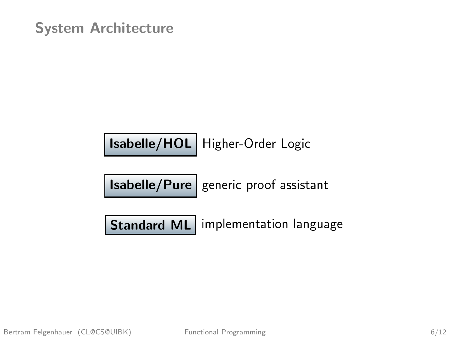[Isabelle/HOL](http://isabelle.in.tum.de) Higher-Order Logic

 $|$  Isabelle/Pure  $|$  generic proof assistant

Standard ML implementation language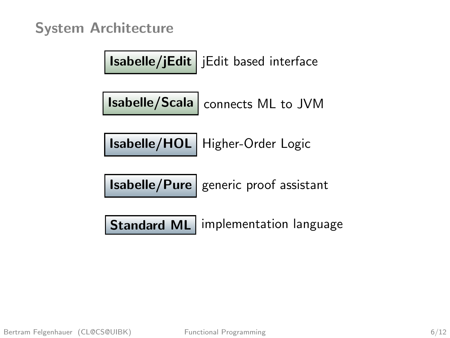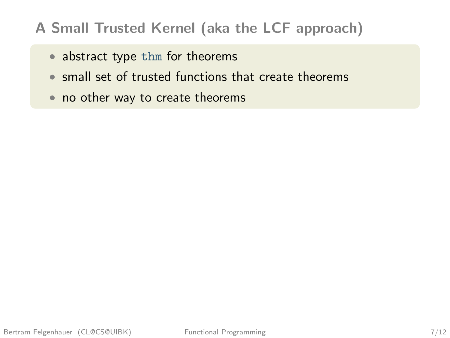#### A Small Trusted Kernel (aka the LCF approach)

- abstract type thm for theorems
- small set of trusted functions that create theorems
- no other way to create theorems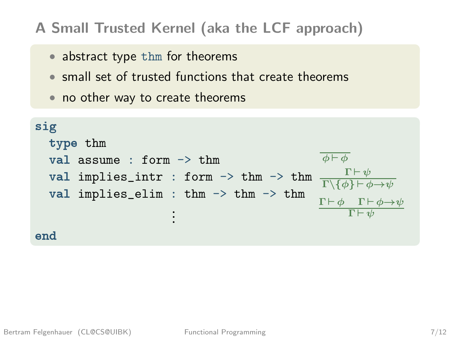#### A Small Trusted Kernel (aka the LCF approach)

- abstract type thm for theorems
- small set of trusted functions that create theorems
- no other way to create theorems

```
sig
   type thm
    val assume : form \rightarrow thm
    val implies_intr : form \rightarrow thm \rightarrow thm
   val implies_elim : thm -> thm -> thm
                                           ...
end
                                                                                            \overline{\phi \vdash \phi}\Gamma \vdash \psi\Gamma \backslash \{ \phi \} \, \vdash \phi \! \! \rightarrow \!\! \psi\Gamma \vdash \phi \quad \Gamma \vdash \phi \rightarrow \psi\Gamma \vdash \psi
```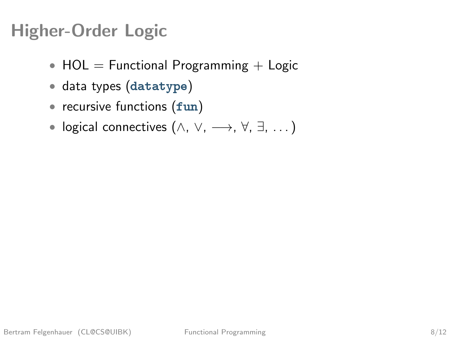# Higher-Order Logic

- $HOL = Functional Programming + Logic$
- data types (datatype)
- recursive functions (fun)
- logical connectives  $(\wedge, \vee, \longrightarrow, \forall, \exists, \dots)$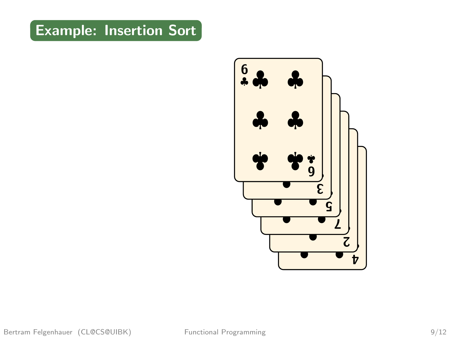

Bertram Felgenhauer (CL@CS@UIBK) Functional Programming 9/12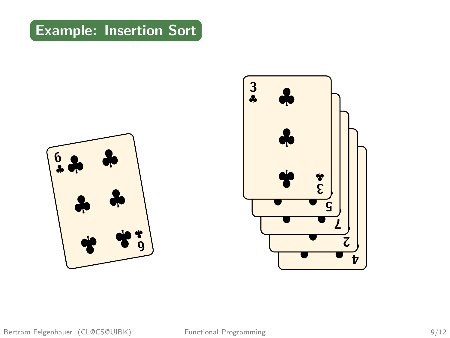

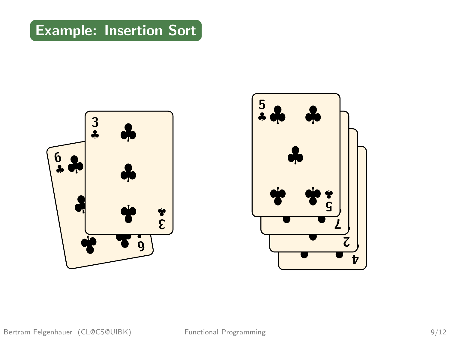

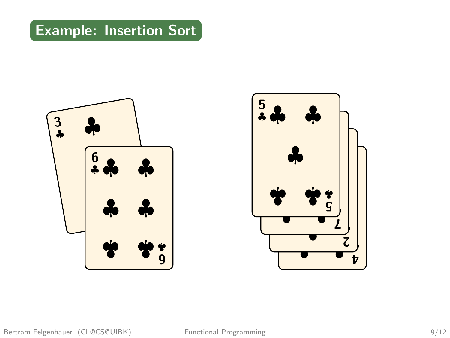

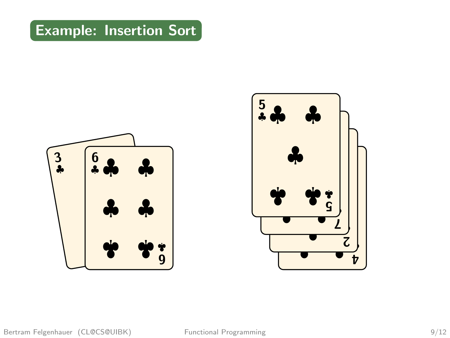

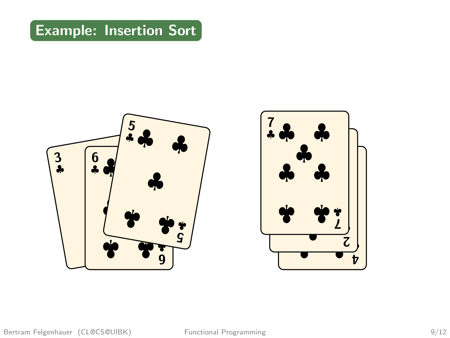

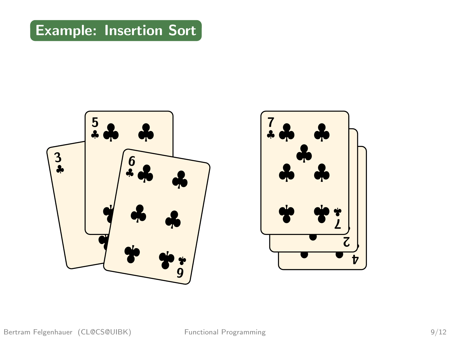

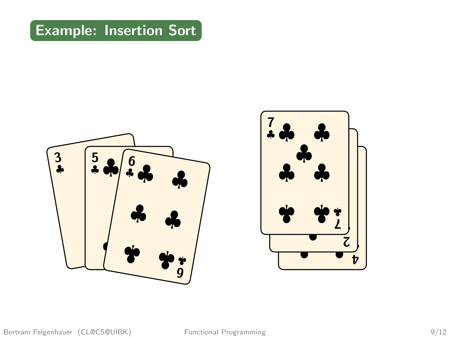

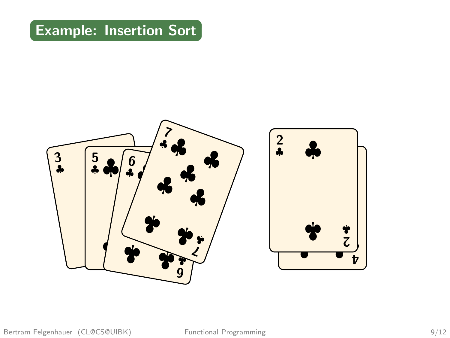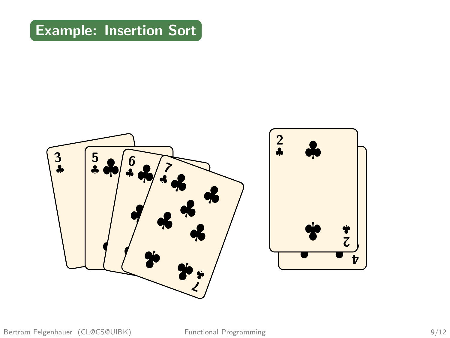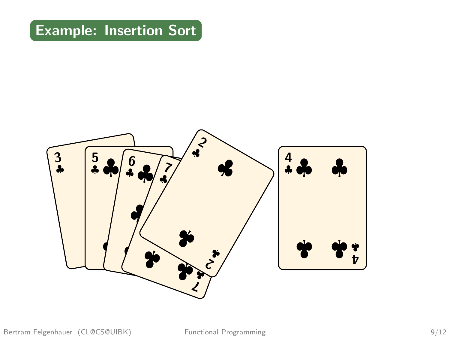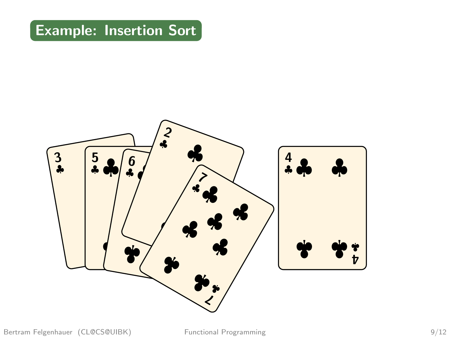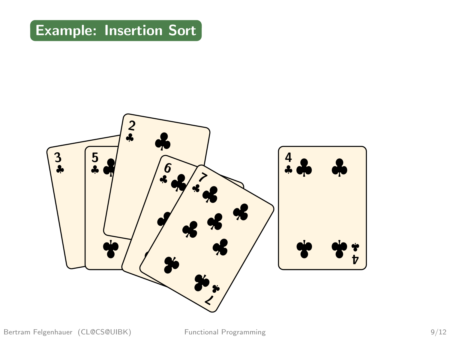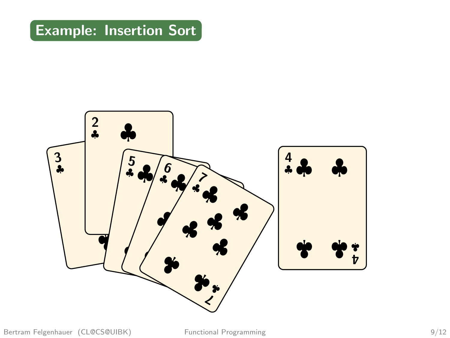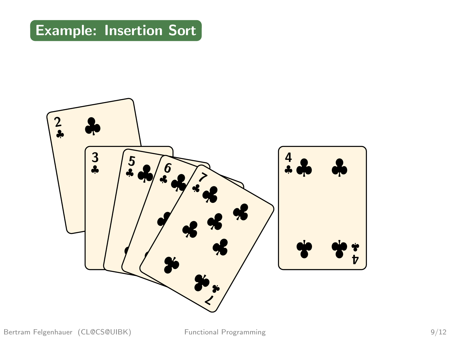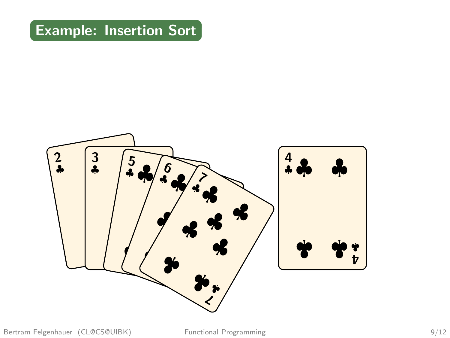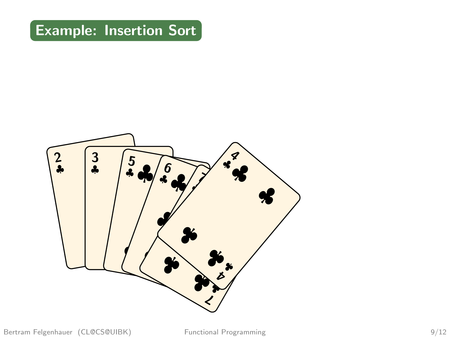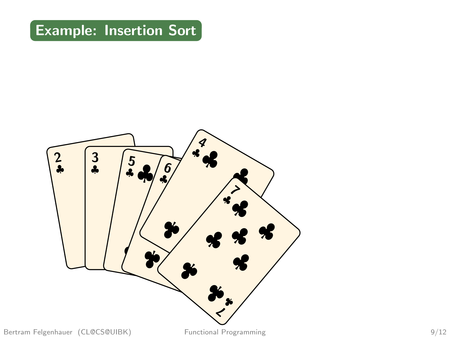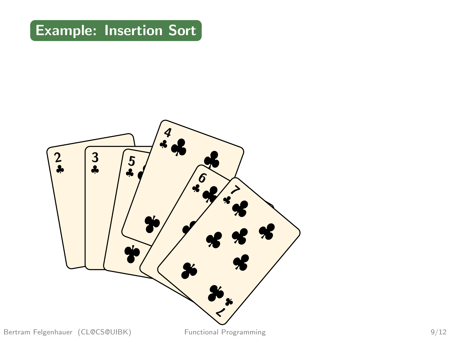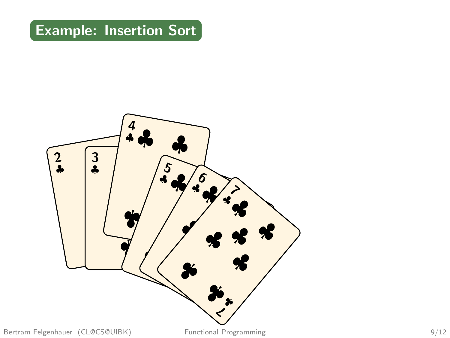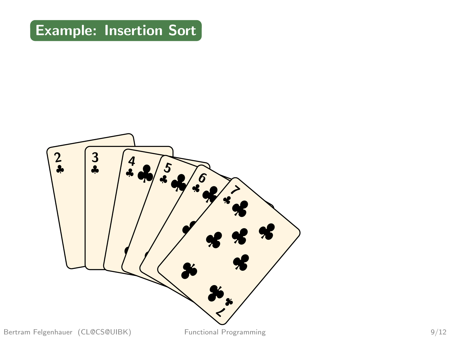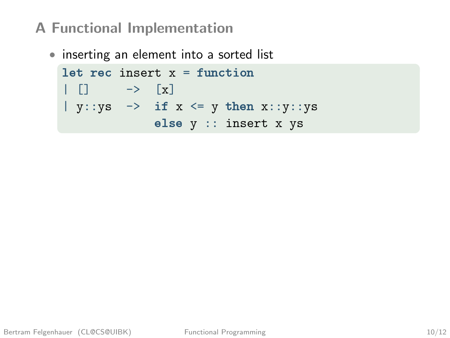#### A Functional Implementation

• inserting an element into a sorted list

```
let rec insert x = function\begin{bmatrix} \end{bmatrix} \rightarrow \begin{bmatrix} x \end{bmatrix}| y::ys -> if x \le y then x::y::yselse y :: insert x ys
```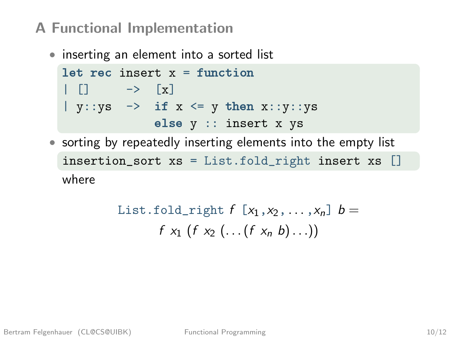#### A Functional Implementation

• inserting an element into a sorted list

```
let rec insert x = f inction
   \lbrack \qquad \rightarrow \qquad \lbrack x \rbracky:ys \rightarrow if x \Leftarrow y then x::y:yselse y :: insert x ys
```
• sorting by repeatedly inserting elements into the empty list insertion\_sort xs = List.fold\_right insert xs [] where

List-fold-right 
$$
f[x_1, x_2, ..., x_n]
$$
  $b =$   
 $f x_1 (f x_2 (...(f x_n b)...))$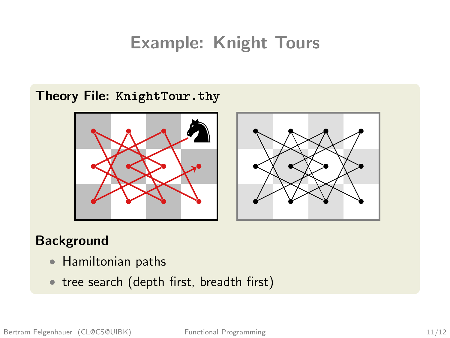# Example: Knight Tours

#### Theory File: [KnightTour.thy](http://cl-informatik.uibk.ac.at/teaching/ws15/fp/m/KnightTour.thy)





#### **Background**

- Hamiltonian paths
- tree search (depth first, breadth first)